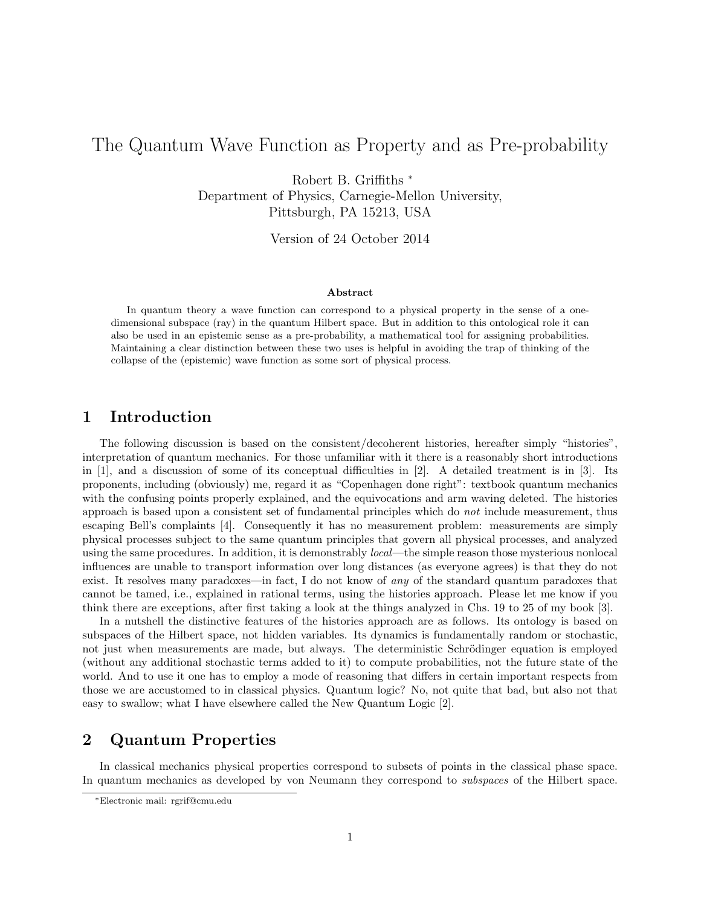# The Quantum Wave Function as Property and as Pre-probability

Robert B. Griffiths <sup>∗</sup> Department of Physics, Carnegie-Mellon University, Pittsburgh, PA 15213, USA

Version of 24 October 2014

#### Abstract

In quantum theory a wave function can correspond to a physical property in the sense of a onedimensional subspace (ray) in the quantum Hilbert space. But in addition to this ontological role it can also be used in an epistemic sense as a pre-probability, a mathematical tool for assigning probabilities. Maintaining a clear distinction between these two uses is helpful in avoiding the trap of thinking of the collapse of the (epistemic) wave function as some sort of physical process.

#### 1 Introduction

The following discussion is based on the consistent/decoherent histories, hereafter simply "histories", interpretation of quantum mechanics. For those unfamiliar with it there is a reasonably short introductions in [1], and a discussion of some of its conceptual difficulties in [2]. A detailed treatment is in [3]. Its proponents, including (obviously) me, regard it as "Copenhagen done right": textbook quantum mechanics with the confusing points properly explained, and the equivocations and arm waving deleted. The histories approach is based upon a consistent set of fundamental principles which do not include measurement, thus escaping Bell's complaints [4]. Consequently it has no measurement problem: measurements are simply physical processes subject to the same quantum principles that govern all physical processes, and analyzed using the same procedures. In addition, it is demonstrably *local—the simple reason those mysterious nonlocal* influences are unable to transport information over long distances (as everyone agrees) is that they do not exist. It resolves many paradoxes—in fact, I do not know of any of the standard quantum paradoxes that cannot be tamed, i.e., explained in rational terms, using the histories approach. Please let me know if you think there are exceptions, after first taking a look at the things analyzed in Chs. 19 to 25 of my book [3].

In a nutshell the distinctive features of the histories approach are as follows. Its ontology is based on subspaces of the Hilbert space, not hidden variables. Its dynamics is fundamentally random or stochastic, not just when measurements are made, but always. The deterministic Schrödinger equation is employed (without any additional stochastic terms added to it) to compute probabilities, not the future state of the world. And to use it one has to employ a mode of reasoning that differs in certain important respects from those we are accustomed to in classical physics. Quantum logic? No, not quite that bad, but also not that easy to swallow; what I have elsewhere called the New Quantum Logic [2].

## 2 Quantum Properties

In classical mechanics physical properties correspond to subsets of points in the classical phase space. In quantum mechanics as developed by von Neumann they correspond to subspaces of the Hilbert space.

<sup>∗</sup>Electronic mail: rgrif@cmu.edu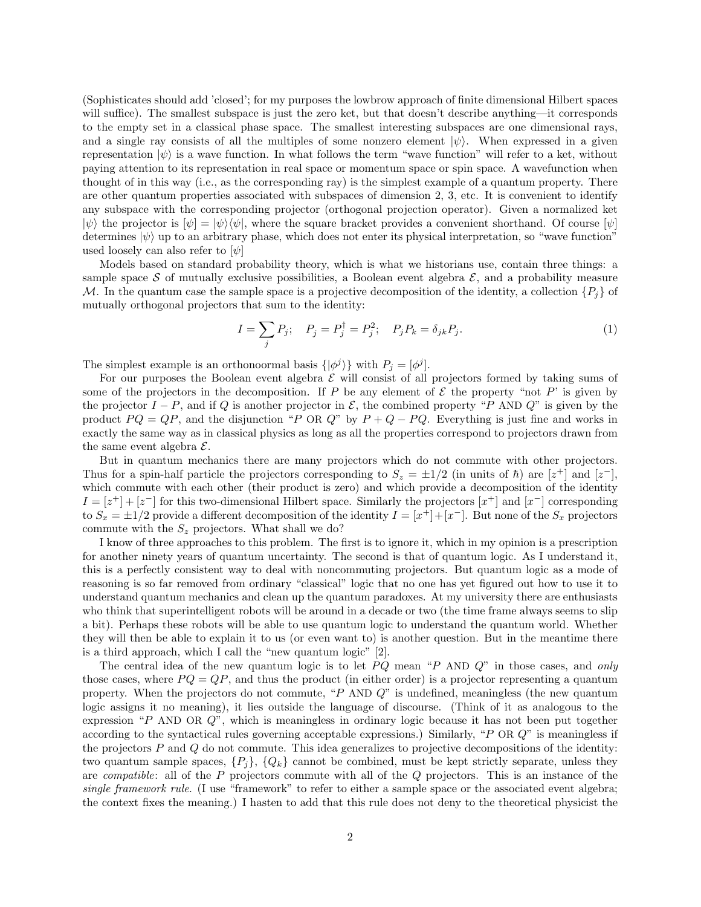(Sophisticates should add 'closed'; for my purposes the lowbrow approach of finite dimensional Hilbert spaces will suffice). The smallest subspace is just the zero ket, but that doesn't describe anything—it corresponds to the empty set in a classical phase space. The smallest interesting subspaces are one dimensional rays, and a single ray consists of all the multiples of some nonzero element  $|\psi\rangle$ . When expressed in a given representation  $|\psi\rangle$  is a wave function. In what follows the term "wave function" will refer to a ket, without paying attention to its representation in real space or momentum space or spin space. A wavefunction when thought of in this way (i.e., as the corresponding ray) is the simplest example of a quantum property. There are other quantum properties associated with subspaces of dimension 2, 3, etc. It is convenient to identify any subspace with the corresponding projector (orthogonal projection operator). Given a normalized ket  $|\psi\rangle$  the projector is  $|\psi\rangle = |\psi\rangle\langle\psi|$ , where the square bracket provides a convenient shorthand. Of course  $|\psi\rangle$ determines  $|\psi\rangle$  up to an arbitrary phase, which does not enter its physical interpretation, so "wave function" used loosely can also refer to  $[\psi]$ 

Models based on standard probability theory, which is what we historians use, contain three things: a sample space S of mutually exclusive possibilities, a Boolean event algebra  $\mathcal{E}$ , and a probability measure M. In the quantum case the sample space is a projective decomposition of the identity, a collection  $\{P_i\}$  of mutually orthogonal projectors that sum to the identity:

$$
I = \sum_{j} P_{j}; \quad P_{j} = P_{j}^{\dagger} = P_{j}^{2}; \quad P_{j} P_{k} = \delta_{jk} P_{j}.
$$
 (1)

The simplest example is an orthonoormal basis  $\{|\phi^j\rangle\}$  with  $P_j = [\phi^j]$ .

For our purposes the Boolean event algebra  $\mathcal E$  will consist of all projectors formed by taking sums of some of the projectors in the decomposition. If P be any element of  $\mathcal E$  the property "not P' is given by the projector  $I - P$ , and if Q is another projector in  $\mathcal{E}$ , the combined property "P AND Q" is given by the product  $PQ = QP$ , and the disjunction "P OR Q" by  $P + Q - PQ$ . Everything is just fine and works in exactly the same way as in classical physics as long as all the properties correspond to projectors drawn from the same event algebra  $\mathcal{E}.$ 

But in quantum mechanics there are many projectors which do not commute with other projectors. Thus for a spin-half particle the projectors corresponding to  $S_z = \pm 1/2$  (in units of  $\hbar$ ) are  $[z^+]$  and  $[z^-]$ , which commute with each other (their product is zero) and which provide a decomposition of the identity  $I = [z^+] + [z^-]$  for this two-dimensional Hilbert space. Similarly the projectors  $[x^+]$  and  $[x^-]$  corresponding to  $S_x = \pm 1/2$  provide a different decomposition of the identity  $I = [x^+] + [x^-]$ . But none of the  $S_x$  projectors commute with the  $S_z$  projectors. What shall we do?

I know of three approaches to this problem. The first is to ignore it, which in my opinion is a prescription for another ninety years of quantum uncertainty. The second is that of quantum logic. As I understand it, this is a perfectly consistent way to deal with noncommuting projectors. But quantum logic as a mode of reasoning is so far removed from ordinary "classical" logic that no one has yet figured out how to use it to understand quantum mechanics and clean up the quantum paradoxes. At my university there are enthusiasts who think that superintelligent robots will be around in a decade or two (the time frame always seems to slip a bit). Perhaps these robots will be able to use quantum logic to understand the quantum world. Whether they will then be able to explain it to us (or even want to) is another question. But in the meantime there is a third approach, which I call the "new quantum logic" [2].

The central idea of the new quantum logic is to let  $PQ$  mean "P AND  $Q$ " in those cases, and only those cases, where  $PQ = QP$ , and thus the product (in either order) is a projector representing a quantum property. When the projectors do not commute, "P AND Q" is undefined, meaningless (the new quantum logic assigns it no meaning), it lies outside the language of discourse. (Think of it as analogous to the expression "P AND OR  $Q$ ", which is meaningless in ordinary logic because it has not been put together according to the syntactical rules governing acceptable expressions.) Similarly, "P OR Q" is meaningless if the projectors  $P$  and  $Q$  do not commute. This idea generalizes to projective decompositions of the identity: two quantum sample spaces,  $\{P_i\}$ ,  $\{Q_k\}$  cannot be combined, must be kept strictly separate, unless they are compatible: all of the P projectors commute with all of the Q projectors. This is an instance of the single framework rule. (I use "framework" to refer to either a sample space or the associated event algebra; the context fixes the meaning.) I hasten to add that this rule does not deny to the theoretical physicist the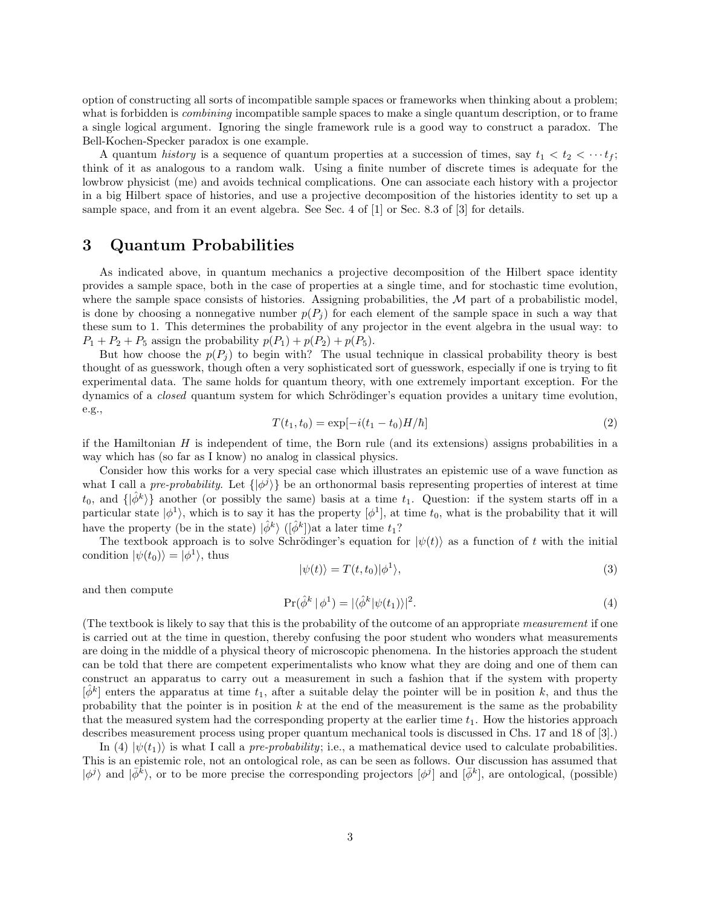option of constructing all sorts of incompatible sample spaces or frameworks when thinking about a problem; what is forbidden is *combining* incompatible sample spaces to make a single quantum description, or to frame a single logical argument. Ignoring the single framework rule is a good way to construct a paradox. The Bell-Kochen-Specker paradox is one example.

A quantum history is a sequence of quantum properties at a succession of times, say  $t_1 < t_2 < \cdots t_f$ ; think of it as analogous to a random walk. Using a finite number of discrete times is adequate for the lowbrow physicist (me) and avoids technical complications. One can associate each history with a projector in a big Hilbert space of histories, and use a projective decomposition of the histories identity to set up a sample space, and from it an event algebra. See Sec. 4 of [1] or Sec. 8.3 of [3] for details.

#### 3 Quantum Probabilities

As indicated above, in quantum mechanics a projective decomposition of the Hilbert space identity provides a sample space, both in the case of properties at a single time, and for stochastic time evolution, where the sample space consists of histories. Assigning probabilities, the  $\mathcal M$  part of a probabilistic model, is done by choosing a nonnegative number  $p(P_i)$  for each element of the sample space in such a way that these sum to 1. This determines the probability of any projector in the event algebra in the usual way: to  $P_1 + P_2 + P_5$  assign the probability  $p(P_1) + p(P_2) + p(P_5)$ .

But how choose the  $p(P_i)$  to begin with? The usual technique in classical probability theory is best thought of as guesswork, though often a very sophisticated sort of guesswork, especially if one is trying to fit experimental data. The same holds for quantum theory, with one extremely important exception. For the dynamics of a *closed* quantum system for which Schrödinger's equation provides a unitary time evolution, e.g.,

$$
T(t_1, t_0) = \exp[-i(t_1 - t_0)H/\hbar]
$$
\n(2)

if the Hamiltonian  $H$  is independent of time, the Born rule (and its extensions) assigns probabilities in a way which has (so far as I know) no analog in classical physics.

Consider how this works for a very special case which illustrates an epistemic use of a wave function as what I call a pre-probability. Let  $\{\ket{\phi^j}\}$  be an orthonormal basis representing properties of interest at time  $t_0$ , and  $\{\ket{\hat{\phi}^k}\}\$  another (or possibly the same) basis at a time  $t_1$ . Question: if the system starts off in a particular state  $|\phi^1\rangle$ , which is to say it has the property  $[\phi^1]$ , at time  $t_0$ , what is the probability that it will have the property (be in the state)  $|\hat{\phi}^k\rangle$  ( $|\hat{\phi}^k|$ ) at a later time  $t_1$ ?

The textbook approach is to solve Schrödinger's equation for  $|\psi(t)\rangle$  as a function of t with the initial condition  $|\psi(t_0)\rangle = |\phi^1\rangle$ , thus

$$
|\psi(t)\rangle = T(t, t_0)|\phi^1\rangle,\tag{3}
$$

and then compute

$$
\Pr(\hat{\phi}^k | \phi^1) = |\langle \hat{\phi}^k | \psi(t_1) \rangle|^2. \tag{4}
$$

(The textbook is likely to say that this is the probability of the outcome of an appropriate measurement if one is carried out at the time in question, thereby confusing the poor student who wonders what measurements are doing in the middle of a physical theory of microscopic phenomena. In the histories approach the student can be told that there are competent experimentalists who know what they are doing and one of them can construct an apparatus to carry out a measurement in such a fashion that if the system with property  $[\hat{\phi}^k]$  enters the apparatus at time  $t_1$ , after a suitable delay the pointer will be in position k, and thus the probability that the pointer is in position  $k$  at the end of the measurement is the same as the probability that the measured system had the corresponding property at the earlier time  $t<sub>1</sub>$ . How the histories approach describes measurement process using proper quantum mechanical tools is discussed in Chs. 17 and 18 of [3].)

In (4)  $|\psi(t_1)\rangle$  is what I call a *pre-probability*; i.e., a mathematical device used to calculate probabilities. This is an epistemic role, not an ontological role, as can be seen as follows. Our discussion has assumed that  $|\phi^j\rangle$  and  $|\bar{\phi}^{\bar{k}}\rangle$ , or to be more precise the corresponding projectors  $[\phi^j]$  and  $[\bar{\phi}^k]$ , are ontological, (possible)